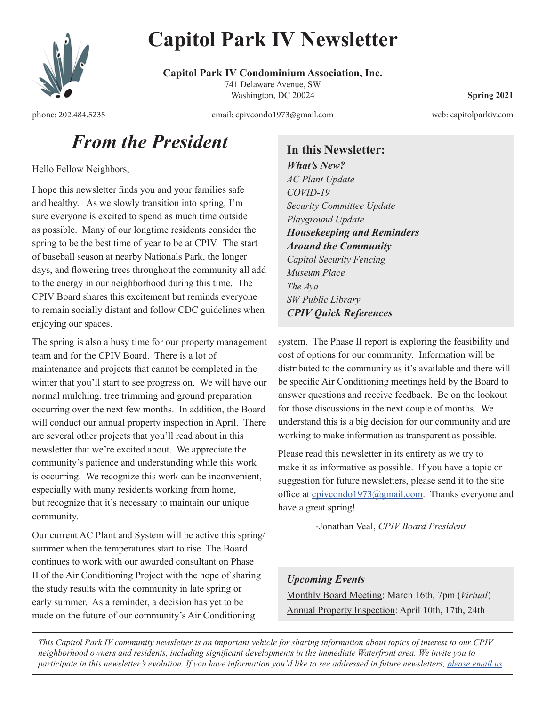

**Capitol Park IV Condominium Association, Inc.** 741 Delaware Avenue, SW Washington, DC 20024 **Spring 2021** 

phone: [202.484.5235](tel:202-484-5235) email: cpivcondo1973@gmail.com

web: [capitolparkiv.com](https://www.capitolparkiv.com/)

### *From the President*

Hello Fellow Neighbors,

I hope this newsletter finds you and your families safe and healthy. As we slowly transition into spring, I'm sure everyone is excited to spend as much time outside as possible. Many of our longtime residents consider the spring to be the best time of year to be at CPIV. The start of baseball season at nearby Nationals Park, the longer days, and flowering trees throughout the community all add to the energy in our neighborhood during this time. The CPIV Board shares this excitement but reminds everyone to remain socially distant and follow CDC guidelines when enjoying our spaces.

The spring is also a busy time for our property management team and for the CPIV Board. There is a lot of maintenance and projects that cannot be completed in the winter that you'll start to see progress on. We will have our normal mulching, tree trimming and ground preparation occurring over the next few months. In addition, the Board will conduct our annual property inspection in April. There are several other projects that you'll read about in this newsletter that we're excited about. We appreciate the community's patience and understanding while this work is occurring. We recognize this work can be inconvenient, especially with many residents working from home, but recognize that it's necessary to maintain our unique community.

Our current AC Plant and System will be active this spring/ summer when the temperatures start to rise. The Board continues to work with our awarded consultant on Phase II of the Air Conditioning Project with the hope of sharing the study results with the community in late spring or early summer. As a reminder, a decision has yet to be made on the future of our community's Air Conditioning

**In this Newsletter:**

*What's New? AC Plant Update COVID-19 Security Committee Update Playground Update Housekeeping and Reminders Around the Community Capitol Security Fencing Museum Place The Aya SW Public Library CPIV Quick References*

system. The Phase II report is exploring the feasibility and cost of options for our community. Information will be distributed to the community as it's available and there will be specific Air Conditioning meetings held by the Board to answer questions and receive feedback. Be on the lookout for those discussions in the next couple of months. We understand this is a big decision for our community and are working to make information as transparent as possible.

Please read this newsletter in its entirety as we try to make it as informative as possible. If you have a topic or suggestion for future newsletters, please send it to the site office at cpivcondo1973@gmail.com. Thanks everyone and have a great spring!

-Jonathan Veal, *CPIV Board President*

*Upcoming Events* Monthly Board Meeting: March 16th, 7pm (*Virtual*) Annual Property Inspection: April 10th, 17th, 24th

*This Capitol Park IV community newsletter is an important vehicle for sharing information about topics of interest to our CPIV neighborhood owners and residents, including significant developments in the immediate Waterfront area. We invite you to participate in this newsletter's evolution. If you have information you'd like to see addressed in future newsletters, [please email us](mailto:cpivcondo1973@gmail.com).*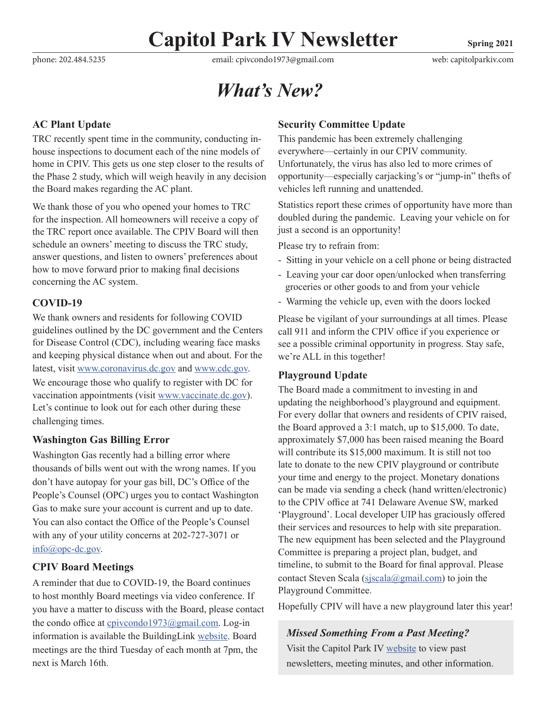phone: [202.484.5235](tel:202-484-5235) email: cpivcondo1973@gmail.com web: [capitolparkiv.com](https://www.capitolparkiv.com/)

### *What's New?*

#### **AC Plant Update**

TRC recently spent time in the community, conducting inhouse inspections to document each of the nine models of home in CPIV. This gets us one step closer to the results of the Phase 2 study, which will weigh heavily in any decision the Board makes regarding the AC plant.

We thank those of you who opened your homes to TRC for the inspection. All homeowners will receive a copy of the TRC report once available. The CPIV Board will then schedule an owners' meeting to discuss the TRC study, answer questions, and listen to owners' preferences about how to move forward prior to making final decisions concerning the AC system.

#### **COVID-19**

We thank owners and residents for following COVID guidelines outlined by the DC government and the Centers for Disease Control (CDC), including wearing face masks and keeping physical distance when out and about. For the latest, visit www.coronavirus.dc.gov and www.cdc.gov. We encourage those who qualify to register with DC for vaccination appointments (visit www.vaccinate.dc.gov). Let's continue to look out for each other during these challenging times.

#### **Washington Gas Billing Error**

Washington Gas recently had a billing error where thousands of bills went out with the wrong names. If you don't have autopay for your gas bill, DC's Office of the People's Counsel (OPC) urges you to contact Washington Gas to make sure your account is current and up to date. You can also contact the Office of the People's Counsel with any of your utility concerns at 202-727-3071 or info@opc-dc.gov.

#### **CPIV Board Meetings**

A reminder that due to COVID-19, the Board continues to host monthly Board meetings via video conference. If you have a matter to discuss with the Board, please contact the condo office at cpivcondo1973@gmail.com. Log-in information is available the BuildingLink [website](http://www.capitolparkresidents.com/). Board meetings are the third Tuesday of each month at 7pm, the next is March 16th.

#### **Security Committee Update**

This pandemic has been extremely challenging everywhere—certainly in our CPIV community. Unfortunately, the virus has also led to more crimes of opportunity—especially carjacking's or "jump-in" thefts of vehicles left running and unattended.

Statistics report these crimes of opportunity have more than doubled during the pandemic. Leaving your vehicle on for just a second is an opportunity!

Please try to refrain from:

- Sitting in your vehicle on a cell phone or being distracted
- Leaving your car door open/unlocked when transferring groceries or other goods to and from your vehicle
- Warming the vehicle up, even with the doors locked

Please be vigilant of your surroundings at all times. Please call 911 and inform the CPIV office if you experience or see a possible criminal opportunity in progress. Stay safe, we're ALL in this together!

#### **Playground Update**

The Board made a commitment to investing in and updating the neighborhood's playground and equipment. For every dollar that owners and residents of CPIV raised, the Board approved a 3:1 match, up to \$15,000. To date, approximately \$7,000 has been raised meaning the Board will contribute its \$15,000 maximum. It is still not too late to donate to the new CPIV playground or contribute your time and energy to the project. Monetary donations can be made via sending a check (hand written/electronic) to the CPIV office at 741 Delaware Avenue SW, marked 'Playground'. Local developer UIP has graciously offered their services and resources to help with site preparation. The new equipment has been selected and the Playground Committee is preparing a project plan, budget, and timeline, to submit to the Board for final approval. Please contact Steven Scala (sjscala@gmail.com) to join the Playground Committee.

Hopefully CPIV will have a new playground later this year!

*Missed Something From a Past Meeting?* Visit the Capitol Park IV [website t](https://www.capitolparkiv.com/)o view past newsletters, meeting minutes, and other information.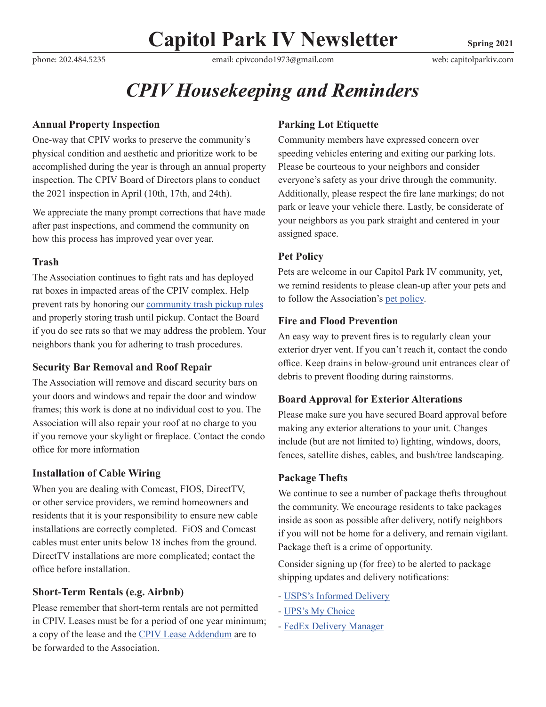phone: [202.484.5235](tel:202-484-5235) email: cpivcondo1973@gmail.com web: [capitolparkiv.com](https://www.capitolparkiv.com/)

## *CPIV Housekeeping and Reminders*

#### **Annual Property Inspection**

One-way that CPIV works to preserve the community's physical condition and aesthetic and prioritize work to be accomplished during the year is through an annual property inspection. The CPIV Board of Directors plans to conduct the 2021 inspection in April (10th, 17th, and 24th).

We appreciate the many prompt corrections that have made after past inspections, and commend the community on how this process has improved year over year.

#### **Trash**

The Association continues to fight rats and has deployed rat boxes in impacted areas of the CPIV complex. Help prevent rats by honoring our [community trash pickup rules](https://www.capitolparkiv.com/trash-pickup) and properly storing trash until pickup. Contact the Board if you do see rats so that we may address the problem. Your neighbors thank you for adhering to trash procedures.

#### **Security Bar Removal and Roof Repair**

The Association will remove and discard security bars on your doors and windows and repair the door and window frames; this work is done at no individual cost to you. The Association will also repair your roof at no charge to you if you remove your skylight or fireplace. Contact the condo office for more information

#### **Installation of Cable Wiring**

When you are dealing with Comcast, FIOS, DirectTV, or other service providers, we remind homeowners and residents that it is your responsibility to ensure new cable installations are correctly completed. FiOS and Comcast cables must enter units below 18 inches from the ground. DirectTV installations are more complicated; contact the office before installation.

#### **Short-Term Rentals (e.g. Airbnb)**

Please remember that short-term rentals are not permitted in CPIV. Leases must be for a period of one year minimum; a copy of the lease and the [CPIV Lease Addendum](https://886e33ce-7109-4b5a-9975-d2ea2af95e45.filesusr.com/ugd/ab21e3_457c448e8f3343f1ab76fe3107b71665.pdf) are to be forwarded to the Association.

#### **Parking Lot Etiquette**

Community members have expressed concern over speeding vehicles entering and exiting our parking lots. Please be courteous to your neighbors and consider everyone's safety as your drive through the community. Additionally, please respect the fire lane markings; do not park or leave your vehicle there. Lastly, be considerate of your neighbors as you park straight and centered in your assigned space.

#### **Pet Policy**

Pets are welcome in our Capitol Park IV community, yet, we remind residents to please clean-up after your pets and to follow the Association's [pet policy.](https://www.capitolparkiv.com/dog-policy)

#### **Fire and Flood Prevention**

An easy way to prevent fires is to regularly clean your exterior dryer vent. If you can't reach it, contact the condo office. Keep drains in below-ground unit entrances clear of debris to prevent flooding during rainstorms.

#### **Board Approval for Exterior Alterations**

Please make sure you have secured Board approval before making any exterior alterations to your unit. Changes include (but are not limited to) lighting, windows, doors, fences, satellite dishes, cables, and bush/tree landscaping.

#### **Package Thefts**

We continue to see a number of package thefts throughout the community. We encourage residents to take packages inside as soon as possible after delivery, notify neighbors if you will not be home for a delivery, and remain vigilant. Package theft is a crime of opportunity.

Consider signing up (for free) to be alerted to package shipping updates and delivery notifications:

- [USPS's Informed Delivery](https://informeddelivery.usps.com/box/pages/intro/start.action)
- [UPS's My Choice](https://www.ups.com/us/en/services/tracking/mychoice.page)
- [FedEx Delivery Manager](https://www.fedex.com/en-us/delivery-manager.html)